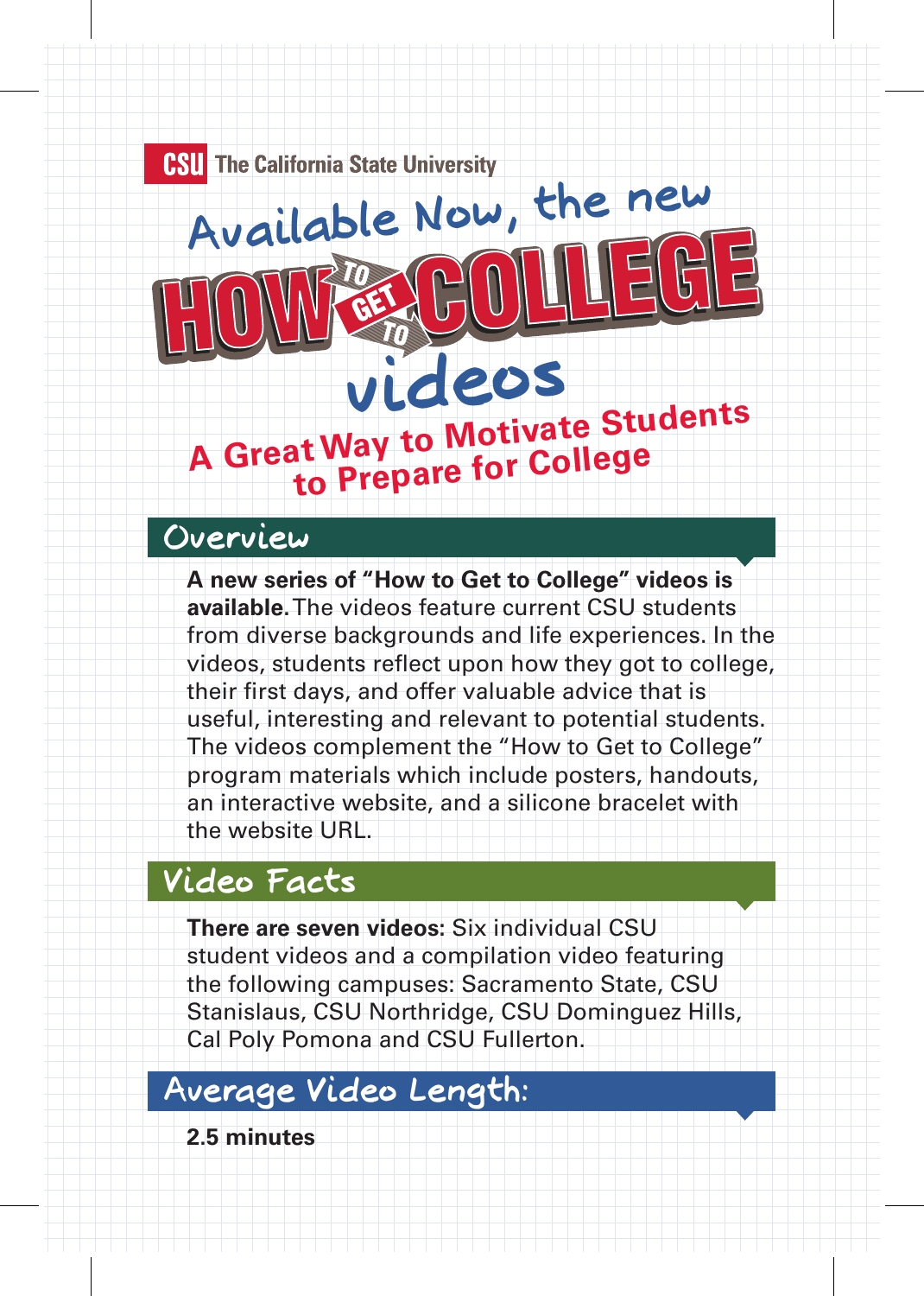**CSU** The California State University **Available Now, the new**

GET

# **A Great Way to Motivate Students to Prepare for College videos**

#### **Overview**

**A new series of "How to Get to College" videos is available.** The videos feature current CSU students from diverse backgrounds and life experiences. In the videos, students reflect upon how they got to college, their first days, and offer valuable advice that is useful, interesting and relevant to potential students. The videos complement the "How to Get to College" program materials which include posters, handouts, an interactive website, and a silicone bracelet with the website URL.

#### **Video Facts**

**There are seven videos:** Six individual CSU student videos and a compilation video featuring the following campuses: Sacramento State, CSU Stanislaus, CSU Northridge, CSU Dominguez Hills, Cal Poly Pomona and CSU Fullerton.

#### **Average Video Length:**

**2.5 minutes**